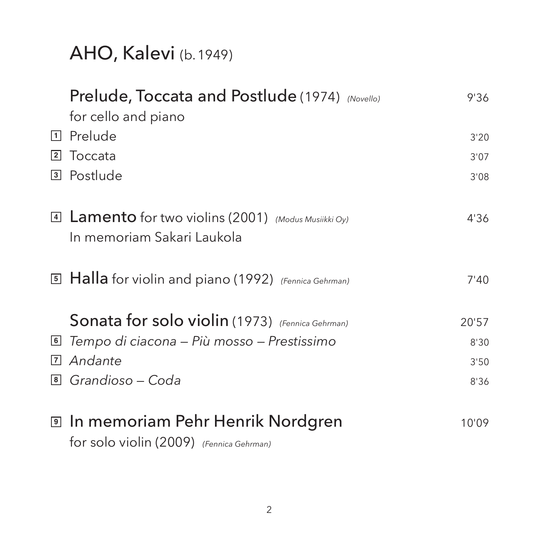# AHO, Kalevi (b. 1949)

|   | Prelude, Toccata and Postlude (1974) (Novello)              | 9'36  |
|---|-------------------------------------------------------------|-------|
|   | for cello and piano                                         |       |
| 1 | Prelude                                                     | 3'20  |
| 2 | Toccata                                                     | 3'07  |
| 3 | Postlude                                                    | 3'08  |
|   |                                                             |       |
|   | 4 <b>Lamento</b> for two violins (2001) (Modus Musiikki Oy) | 4'36  |
|   | In memoriam Sakari Laukola                                  |       |
|   |                                                             |       |
|   | 5 Halla for violin and piano (1992) (Fennica Gehrman)       | 7'40  |
|   |                                                             |       |
|   | Sonata for solo violin (1973) (Fennica Gehrman)             | 20'57 |
| 6 | Tempo di ciacona - Più mosso - Prestissimo                  | 8'30  |
| 7 | Andante                                                     | 3'50  |
|   | <sup>8</sup> Grandioso – Coda                               | 8'36  |
|   |                                                             |       |
|   | ▣ In memoriam Pehr Henrik Nordgren                          | 10'09 |

for solo violin (2009) *(Fennica Gehrman)*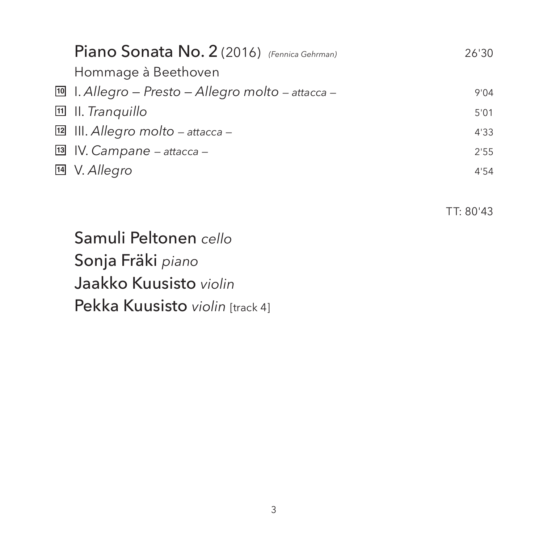| Piano Sonata No. 2 (2016) (Fennica Gehrman)                  | 26'30 |
|--------------------------------------------------------------|-------|
| Hommage à Beethoven                                          |       |
| $\boxed{10}$ I. Allegro – Presto – Allegro molto – attacca – | 9'04  |
| $\mathbb{H}$ II. Tranquillo                                  | 5'01  |
| $\mathbb{E}$ III. Allegro molto – attacca –                  | 4'33  |
| 13 IV. Campane - attacca -                                   | 2'55  |
| <sup>14</sup> V. Allegro                                     | 4'54  |
|                                                              |       |

TT: 80'43

 Samuli Peltonen *cello* Sonja Fräki *piano* Jaakko Kuusisto *violin* Pekka Kuusisto *violin* [track 4]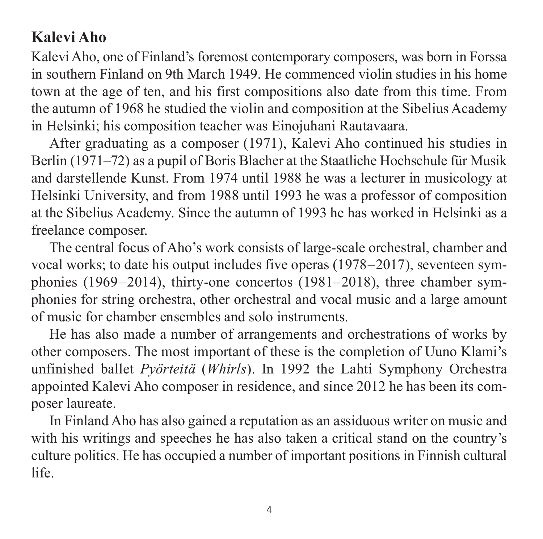### **Kalevi Aho**

Kalevi Aho, one of Finland's foremost contemporary composers, was born in Forssa in southern Finland on 9th March 1949. He commenced violin studies in his home town at the age of ten, and his first compositions also date from this time. From the autumn of 1968 he studied the violin and composition at the Sibelius Academy in Helsinki; his composition teacher was Einojuhani Rautavaara.

After graduating as a composer (1971), Kalevi Aho continued his studies in Berlin (1971–72) as a pupil of Boris Blacher at the Staatliche Hochschule für Musik and darstellende Kunst. From 1974 until 1988 he was a lecturer in musicology at Helsinki University, and from 1988 until 1993 he was a professor of composition at the Sibelius Academy. Since the autumn of 1993 he has worked in Helsinki as a freelance composer.

The central focus of Aho's work consists of large-scale orchestral, chamber and vocal works; to date his output includes five operas (1978–2017), seventeen symphonies (1969–2014), thirty-one concertos (1981–2018), three chamber symphonies for string orchestra, other orchestral and vocal music and a large amount of music for chamber ensembles and solo instruments.

He has also made a number of arrangements and orchestrations of works by other composers. The most important of these is the completion of Uuno Klami's un finished ballet *Pyörteitä* (*Whirls*). In 1992 the Lahti Symphony Orchestra appointed Kalevi Aho composer in residence, and since 2012 he has been its composer laureate.

In Finland Aho has also gained a reputation as an assiduous writer on music and with his writings and speeches he has also taken a critical stand on the country's culture politics. He has occupied a number of important positions in Finnish cultural life.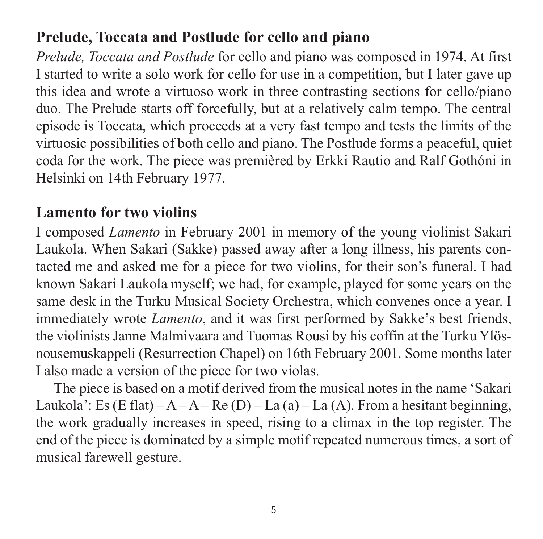### **Prelude, Toccata and Postlude for cello and piano**

*Prelude, Toccata and Postlude* for cello and piano was composed in 1974. At first I started to write a solo work for cello for use in a competition, but I later gave up this idea and wrote a virtuoso work in three contrasting sections for cello/piano duo. The Prelude starts off forcefully, but at a relatively calm tempo. The central episode is Toccata, which proceeds at a very fast tempo and tests the limits of the virtuosic possibilities of both cello and piano. The Postlude forms a peaceful, quiet coda for the work. The piece was premièred by Erkki Rautio and Ralf Gothóni in Helsinki on 14th February 1977.

#### **Lamento for two violins**

I composed *Lamento* in February 2001 in memory of the young violinist Sakari Laukola. When Sakari (Sakke) passed away after a long illness, his parents con tacted me and asked me for a piece for two violins, for their son's funeral. I had known Sakari Laukola myself; we had, for example, played for some years on the same desk in the Turku Musical Society Orchestra, which convenes once a year. I immediately wrote *Lamento*, and it was first performed by Sakke's best friends, the violinists Janne Malmivaara and Tuomas Rousi by his coffin at the Turku Ylös nousemuskappeli (Resurrection Chapel) on 16th February 2001. Some months later I also made a version of the piece for two violas.

The piece is based on a motif derived from the musical notes in the name 'Sakari Laukola': Es (E flat) –  $A - A - Re(D) - La(a) - La(A)$ . From a hesitant beginning, the work gradually increases in speed, rising to a climax in the top register. The end of the piece is dominated by a simple motif repeated numerous times, a sort of musical farewell gesture.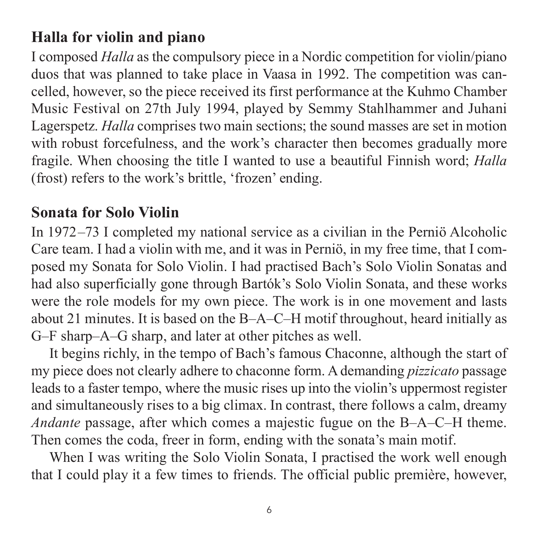#### **Halla for violin and piano**

I composed *Halla* as the compulsory piece in a Nordic competition for violin/piano duos that was planned to take place in Vaasa in 1992. The competition was can celled, however, so the piece received its first performance at the Kuhmo Chamber Music Festival on 27th July 1994, played by Semmy Stahlhammer and Juhani Lagerspetz. *Halla* comprises two main sections; the sound masses are set in motion with robust forcefulness, and the work's character then becomes gradually more fragile. When choosing the title I wanted to use a beautiful Finnish word; *Halla* (frost) refers to the work's brittle, 'frozen' ending.

#### **Sonata for Solo Violin**

In 1972–73 I completed my national service as a civilian in the Perniö Alcoholic Care team. I had a violin with me, and it was in Perniö, in my free time, that I com posed my Sonata for Solo Violin. I had practised Bach's Solo Violin Sonatas and had also superficially gone through Bartók's Solo Violin Sonata, and these works were the role models for my own piece. The work is in one movement and lasts about 21 minutes. It is based on the B–A–C–H motif throughout, heard initially as G–F sharp–A–G sharp, and later at other pitches as well.

It begins richly, in the tempo of Bach's famous Chaconne, although the start of my piece does not clearly adhere to chaconne form. A demanding *pizzicato* passage leads to a faster tempo, where the music rises up into the violin's uppermost register and simultaneously rises to a big climax. In contrast, there follows a calm, dreamy *Andante* passage, after which comes a majestic fugue on the B–A–C–H theme. Then comes the coda, freer in form, ending with the sonata's main motif.

When I was writing the Solo Violin Sonata, I practised the work well enough that I could play it a few times to friends. The official public première, however,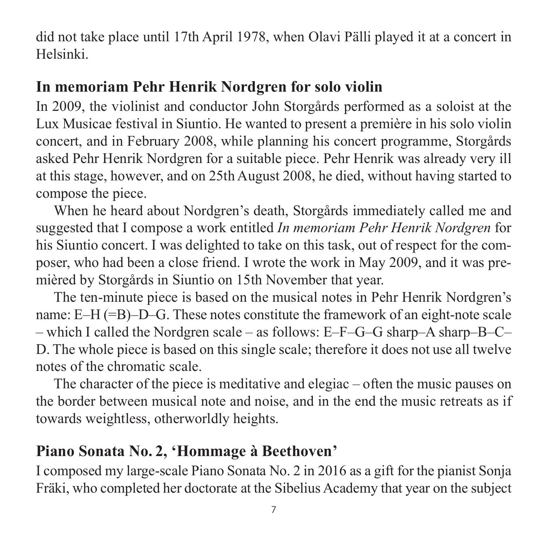did not take place until 17th April 1978, when Olavi Pälli played it at a concert in Helsinki.

#### **In memoriam Pehr Henrik Nordgren for solo violin**

In 2009, the violinist and conductor John Storgårds performed as a soloist at the Lux Musicae festival in Siuntio. He wanted to present a première in his solo violin concert, and in February 2008, while planning his concert programme, Storgårds asked Pehr Henrik Nordgren for a suitable piece. Pehr Henrik was already very ill at this stage, however, and on 25th August 2008, he died, without having started to compose the piece.

When he heard about Nordgren's death, Storgårds immediately called me and suggested that I compose a work entitled *In memoriam Pehr Henrik Nordgren* for his Siuntio concert. I was delighted to take on this task, out of respect for the composer, who had been a close friend. I wrote the work in May 2009, and it was pre mièred by Storgårds in Siuntio on 15th November that year.

The ten-minute piece is based on the musical notes in Pehr Henrik Nordgren's name: E–H (=B)–D–G. These notes constitute the framework of an eight-note scale – which I called the Nordgren scale – as follows: E–F–G–G sharp–A sharp–B–C– D. The whole piece is based on this single scale; therefore it does not use all twelve notes of the chromatic scale.

The character of the piece is meditative and elegiac – often the music pauses on the border between musical note and noise, and in the end the music retreats as if towards weightless, otherworldly heights.

#### **Piano Sonata No. 2, 'Hommage à Beethoven'**

I composed my large-scale Piano Sonata No. 2 in 2016 as a gift for the pianist Sonja Fräki, who completed her doctorate at the Sibelius Academy that year on the subject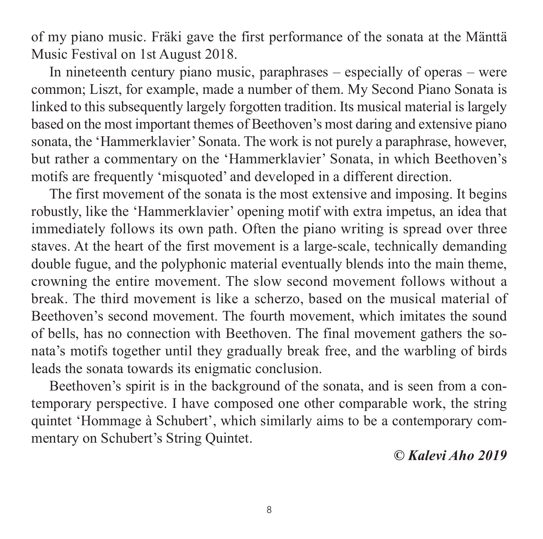of my piano music. Fräki gave the first performance of the sonata at the Mänttä Music Festival on 1st August 2018.

In nineteenth century piano music, paraphrases – especially of operas – were common; Liszt, for example, made a number of them. My Second Piano Sonata is linked to this subsequently largely forgotten tradition. Its musical material is largely based on the most important themes of Beethoven's most daring and extensive piano sonata, the 'Hammerklavier' Sonata. The work is not purely a paraphrase, however, but rather a commentary on the 'Hammerklavier' Sonata, in which Beethoven's motifs are frequently 'misquoted' and developed in a different direction.

The first movement of the sonata is the most extensive and imposing. It begins robustly, like the 'Hammerklavier' opening motif with extra impetus, an idea that immediately follows its own path. Often the piano writing is spread over three staves. At the heart of the first movement is a large-scale, technically demanding double fugue, and the polyphonic material eventually blends into the main theme, crowning the entire movement. The slow second movement follows without a break. The third movement is like a scherzo, based on the musical material of Beetho ven's second movement. The fourth movement, which imitates the sound of bells, has no connection with Beethoven. The final movement gathers the sonata's motifs together until they gradually break free, and the warbling of birds leads the sonata towards its enigmatic conclusion.

Beethoven's spirit is in the background of the sonata, and is seen from a contemporary perspective. I have composed one other comparable work, the string quintet 'Hommage à Schubert', which similarly aims to be a contemporary commentary on Schubert's String Quintet.

*© Kalevi Aho 2019*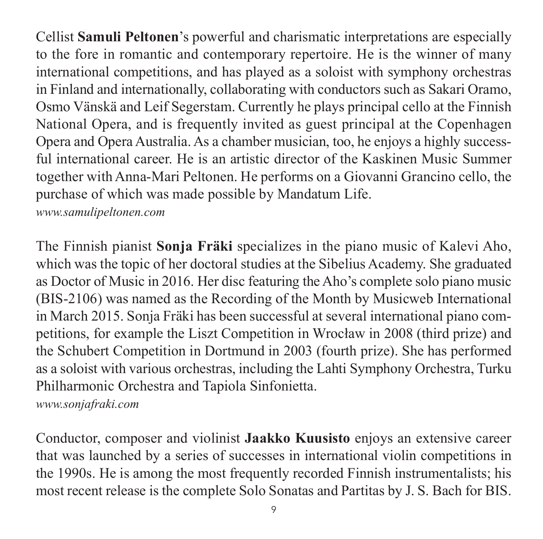Cellist **Samuli Peltonen**'s powerful and charismatic interpretations are especially to the fore in romantic and contemporary repertoire. He is the winner of many international competitions, and has played as a soloist with symphony orchestras in Finland and internationally, collaborating with conductors such as Sakari Oramo, Osmo Vänskä and Leif Segerstam. Currently he plays principal cello at the Finnish National Opera, and is frequently invited as guest principal at the Copenhagen Opera and Opera Australia. As a chamber musician, too, he enjoys a highly success ful international career. He is an artistic director of the Kaskinen Music Summer together with Anna-Mari Peltonen. He performs on a Giovanni Grancino cello, the purchase of which was made possible by Mandatum Life.

*[www.samulipeltonen.com](http://www.samulipeltonen.com)*

The Finnish pianist **Sonja Fräki** specializes in the piano music of Kalevi Aho, which was the topic of her doctoral studies at the Sibelius Academy. She graduated as Doctor of Music in 2016. Her disc featuring the Aho's complete solo piano music (BIS-2106) was named as the Recording of the Month by Musicweb International in March 2015. Sonja Fräki has been successful at several international piano competitions, for example the Liszt Competition in Wrocław in 2008 (third prize) and the Schubert Competition in Dortmund in 2003 (fourth prize). She has performed as a soloist with various orchestras, including the Lahti Symphony Orchestra, Turku Philharmonic Orchestra and Tapiola Sinfonietta.

*[www.sonjafraki.com](http://www.sonjafraki.com)*

Conductor, composer and violinist **Jaakko Kuusisto** enjoys an extensive career that was launched by a series of successes in international violin competitions in the 1990s. He is among the most frequently recorded Finnish instrumentalists; his most recent release is the complete Solo Sonatas and Partitas by J. S. Bach for BIS.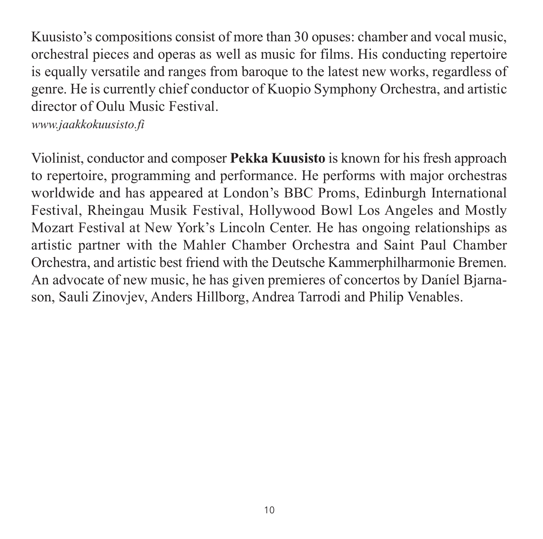Kuusisto's compositions consist of more than 30 opuses: chamber and vocal music, orchestral pieces and operas as well as music for films. His conducting repertoire is equally versatile and ranges from baroque to the latest new works, regardless of genre. He is currently chief conductor of Kuopio Symphony Orchestra, and artistic director of Oulu Music Festival.

*[www.jaakkokuusisto.fi](http://www.jaakkokuusisto.fi)*

Violinist, conductor and composer **Pekka Kuusisto** is known for his fresh approach to repertoire, programming and performance. He performs with major orchestras worldwide and has appeared at London's BBC Proms, Edinburgh International Festival, Rheingau Musik Festival, Hollywood Bowl Los Angeles and Mostly Mozart Festival at New York's Lincoln Center. He has ongoing relationships as artistic partner with the Mahler Chamber Orchestra and Saint Paul Chamber Orchestra, and artistic best friend with the Deutsche Kammerphilharmonie Bremen. An advocate of new music, he has given premieres of concertos by Daníel Bjarnason, Sauli Zinovjev, Anders Hillborg, Andrea Tarrodi and Philip Venables.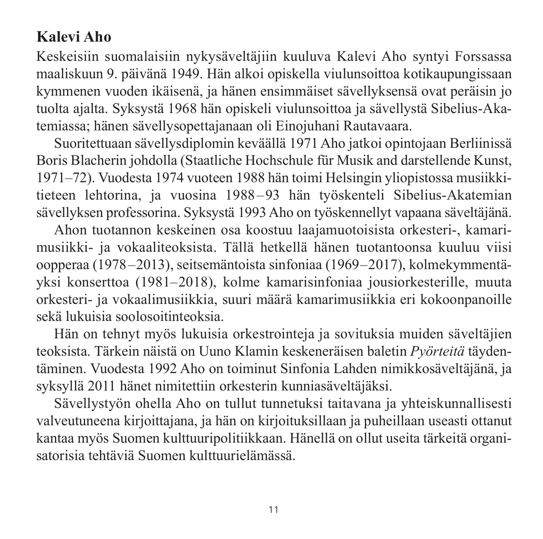### **Kalevi Aho**

Keskeisiin suomalaisiin nykysäveltäjiin kuuluva Kalevi Aho syntyi Forssassa maalis kuun 9. päivänä 1949. Hän alkoi opiskella viulunsoittoa kotikaupungissaan kymmenen vuoden ikäisenä, ja hänen ensimmäiset sävellyksensä ovat peräisin jo tuolta ajalta. Syksystä 1968 hän opiskeli viulunsoittoa ja sävellystä Sibelius-Aka temiassa; hänen sävellysopettajanaan oli Einojuhani Rautavaara.

Suoritettuaan sävellysdiplomin keväällä 1971 Aho jatkoi opintojaan Berliinissä Boris Blacherin johdolla (Staatliche Hochschule für Musik and darstellende Kunst, 1971–72). Vuodesta 1974 vuoteen 1988 hän toimi Helsingin yliopistossa musiikki tieteen lehtorina, ja vuosina 1988–93 hän työskenteli Sibelius-Akatemian sävellyksen professorina. Syksystä 1993 Aho on työskennellyt vapaana säveltäjänä.

Ahon tuotannon keskeinen osa koostuu laajamuotoisista orkesteri-, kamari musiikki- ja vokaaliteoksista. Tällä hetkellä hänen tuotantoonsa kuuluu viisi oopperaa (1978–2013), seitsemäntoista sinfoniaa (1969–2017), kolmekymmentä yksi konserttoa (1981–2018), kolme kamarisinfoniaa jousiorkesterille, muuta orkesteri- ja vokaalimusiikkia, suuri määrä kamarimusiikkia eri kokoonpanoille sekä lukuisia soolosoitinteoksia.

Hän on tehnyt myös lukuisia orkestrointeja ja sovituksia muiden säveltäjien teoksista. Tärkein näistä on Uuno Klamin keskeneräisen baletin *Pyörteitä* täyden täminen. Vuodesta 1992 Aho on toiminut Sinfonia Lahden nimikkosäveltäjänä, ja syksyllä 2011 hänet nimitettiin orkesterin kunniasäveltäjäksi.

Sävellystyön ohella Aho on tullut tunnetuksi taitavana ja yhteiskunnallisesti valveutuneena kirjoittajana, ja hän on kirjoituksillaan ja puheillaan useasti ottanut kantaa myös Suomen kulttuuripolitiikkaan. Hänellä on ollut useita tärkeitä organi sa torisia tehtäviä Suomen kulttuurielämässä.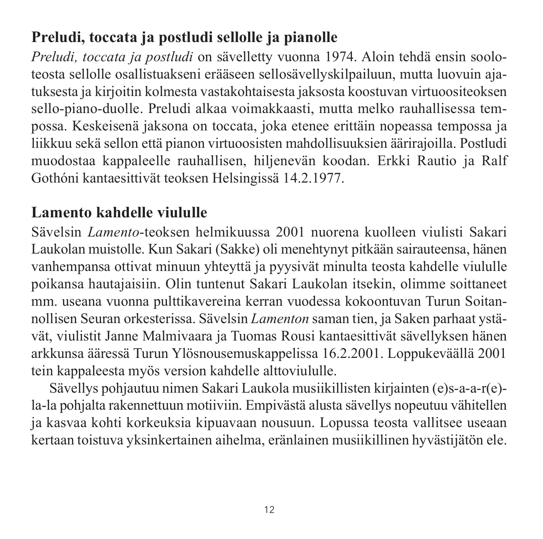## **Preludi, toccata ja postludi sellolle ja pianolle**

*Preludi, toccata ja postludi* on sävelletty vuonna 1974. Aloin tehdä ensin sooloteosta sellolle osallistuakseni erääseen sellosävellyskilpailuun, mutta luovuin aja tuksesta ja kirjoitin kolmesta vastakohtaisesta jaksosta koostuvan virtuoositeoksen sello-piano-duolle. Preludi alkaa voimakkaasti, mutta melko rauhallisessa tempossa. Keskeisenä jaksona on toccata, joka etenee erittäin nopeassa tempossa ja liikkuu sekä sellon että pianon virtuoosisten mahdollisuuksien äärirajoilla. Postludi muodostaa kappaleelle rauhallisen, hiljenevän koodan. Erkki Rautio ja Ralf Gothóni kantaesittivät teoksen Helsingissä 14.2.1977.

#### **Lamento kahdelle viululle**

Sävelsin *Lamento*-teoksen helmikuussa 2001 nuorena kuolleen viulisti Sakari Laukolan muistolle. Kun Sakari (Sakke) oli menehtynyt pitkään sairauteensa, hänen vanhempansa ottivat minuun yhteyttä ja pyysivät minulta teosta kahdelle viululle poikansa hautajaisiin. Olin tuntenut Sakari Laukolan itsekin, olimme soittaneet mm. useana vuonna pulttikavereina kerran vuodessa kokoontuvan Turun Soitannollisen Seuran orkesterissa. Sävelsin *Lamenton* saman tien, ja Saken parhaat ystävät, viulistit Janne Malmivaara ja Tuomas Rousi kantaesittivät sävellyksen hänen arkkunsa ääressä Turun Ylösnousemuskappelissa 16.2.2001. Loppukeväällä 2001 tein kappaleesta myös version kahdelle alttoviululle.

Sävellys pohjautuu nimen Sakari Laukola musiikillisten kirjainten (e)s-a-a-r(e) la-la pohjalta rakennettuun motiiviin. Empivästä alusta sävellys nopeutuu vähitellen ja kasvaa kohti korkeuksia kipuavaan nousuun. Lopussa teosta vallitsee useaan kertaan toistuva yksinkertainen aihelma, eränlainen musiikillinen hyvästijätön ele.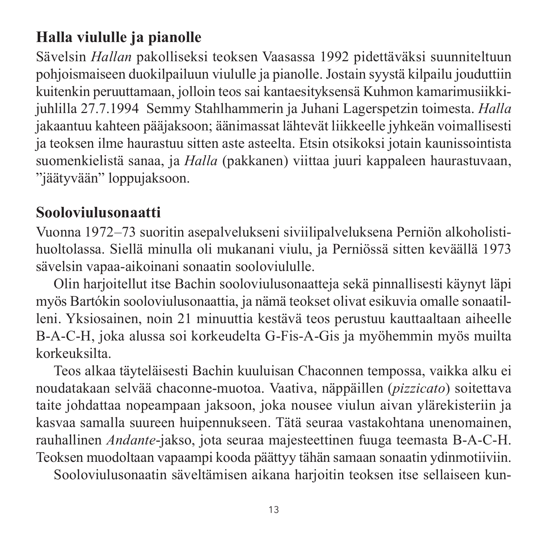## **Halla viululle ja pianolle**

Sävelsin *Hallan* pakolliseksi teoksen Vaasassa 1992 pidettäväksi suunniteltuun pohjoismaiseen duokilpailuun viululle ja pianolle. Jostain syystä kilpailu jouduttiin kuitenkin peruuttamaan, jolloin teos sai kantaesityksensä Kuhmon kamarimusiikkijuhlilla 27.7.1994 Semmy Stahlhammerin ja Juhani Lagerspetzin toimesta. *Halla* jakaantuu kahteen pääjaksoon; äänimassat lähtevät liikkeelle jyhkeän voimallisesti ja teoksen ilme haurastuu sitten aste asteelta. Etsin otsikoksi jotain kaunissointista suomenkielistä sanaa, ja *Halla* (pakkanen) viittaa juuri kappaleen haurastuvaan, "jäätyvään" loppujaksoon.

#### **Sooloviulusonaatti**

Vuonna 1972–73 suoritin asepalvelukseni siviilipalveluksena Perniön alkoholistihuoltolassa. Siellä minulla oli mukanani viulu, ja Perniössä sitten keväällä 1973 sävelsin vapaa-aikoinani sonaatin sooloviululle.

Olin harjoitellut itse Bachin sooloviulusonaatteja sekä pinnallisesti käynyt läpi myös Bartókin sooloviulusonaattia, ja nämä teokset olivat esikuvia omalle sonaatil leni. Yksiosainen, noin 21 minuuttia kestävä teos perustuu kauttaaltaan aiheelle B-A-C-H, joka alussa soi korkeudelta G-Fis-A-Gis ja myöhemmin myös muilta korkeuksilta.

Teos alkaa täyteläisesti Bachin kuuluisan Chaconnen tempossa, vaikka alku ei noudatakaan selvää chaconne-muotoa. Vaativa, näppäillen (*pizzicato*) soitettava taite johdattaa nopeampaan jaksoon, joka nousee viulun aivan ylärekisteriin ja kasvaa samalla suureen huipennukseen. Tätä seuraa vastakohtana unenomainen, rauhallinen *Andante*-jakso, jota seuraa majesteettinen fuuga teemasta B-A-C-H. Teoksen muodoltaan vapaampi kooda päättyy tähän samaan sonaatin ydinmotiiviin.

Sooloviulusonaatin säveltämisen aikana harjoitin teoksen itse sellaiseen kun-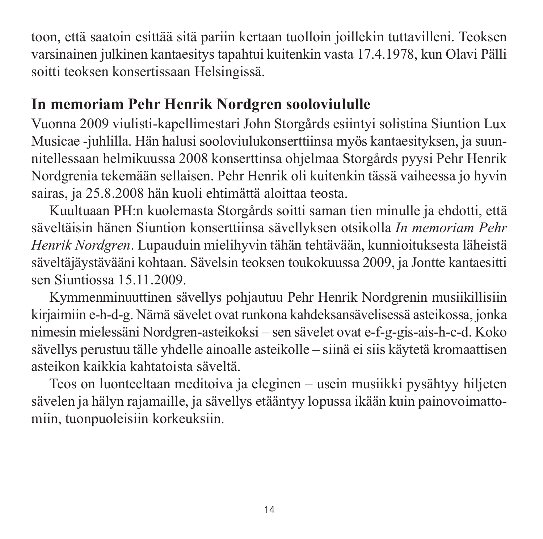toon, että saatoin esittää sitä pariin kertaan tuolloin joillekin tuttavilleni. Teoksen varsinainen julkinen kantaesitys tapahtui kuitenkin vasta 17.4.1978, kun Olavi Pälli soitti teoksen konsertissaan Helsingissä.

#### **In memoriam Pehr Henrik Nordgren sooloviululle**

Vuonna 2009 viulisti-kapellimestari John Storgårds esiintyi solistina Siuntion Lux Musicae -juhlilla. Hän halusi sooloviulukonserttiinsa myös kantaesityksen, ja suun nitellessaan helmikuussa 2008 konserttinsa ohjelmaa Storgårds pyysi Pehr Henrik Nordgrenia tekemään sellaisen. Pehr Henrik oli kuitenkin tässä vaiheessa jo hyvin sairas, ja 25.8.2008 hän kuoli ehtimättä aloittaa teosta.

Kuultuaan PH:n kuolemasta Storgårds soitti saman tien minulle ja ehdotti, että säveltäisin hänen Siuntion konserttiinsa sävellyksen otsikolla *In memoriam Pehr Henrik Nordgren*. Lupauduin mielihyvin tähän tehtävään, kunnioituksesta läheistä säveltäjäystävääni kohtaan. Sävelsin teoksen toukokuussa 2009, ja Jontte kantaesitti sen Siuntiossa 15.11.2009.

Kymmenminuuttinen sävellys pohjautuu Pehr Henrik Nordgrenin musiikillisiin kirjaimiin e-h-d-g. Nämä sävelet ovat runkona kahdeksansävelisessä asteikossa, jonka nimesin mielessäni Nordgren-asteikoksi – sen sävelet ovat e-f-g-gis-ais-h-c-d. Koko sävellys perustuu tälle yhdelle ainoalle asteikolle – siinä ei siis käytetä kromaattisen asteikon kaikkia kahtatoista säveltä.

Teos on luonteeltaan meditoiva ja eleginen – usein musiikki pysähtyy hiljeten sävelen ja hälyn rajamaille, ja sävellys etääntyy lopussa ikään kuin painovoimattomiin, tuonpuoleisiin korkeuksiin.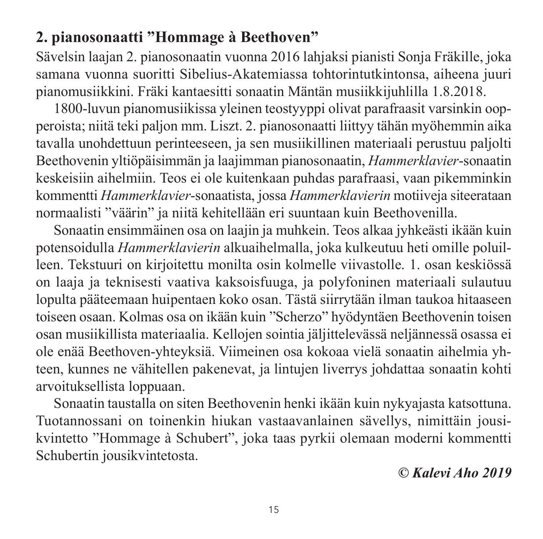#### **2. pianosonaatti "Hommage à Beethoven"**

Sävelsin laajan 2. pianosonaatin vuonna 2016 lahjaksi pianisti Sonja Fräkille, joka samana vuonna suoritti Sibelius-Akatemiassa tohtorintutkintonsa, aiheena juuri pianomusiikkini. Fräki kantaesitti sonaatin Mäntän musiikkijuhlilla 1.8.2018.

1800-luvun pianomusiikissa yleinen teostyyppi olivat parafraasit varsinkin oop peroista; niitä teki paljon mm. Liszt. 2. pianosonaatti liittyy tähän myöhemmin aika tavalla unohdettuun perinteeseen, ja sen musiikillinen materiaali perustuu paljolti Beethovenin yltiöpäisimmän ja laajimman pianosonaatin, *Hammerklavier*-sonaatin keskeisiin aihelmiin. Teos ei ole kuitenkaan puhdas parafraasi, vaan pikemminkin kommentti *Hammerklavier*-sonaatista, jossa *Hammerklavierin* motiiveja siteerataan normaalisti "väärin" ja niitä kehitellään eri suuntaan kuin Beethovenilla.

Sonaatin ensimmäinen osa on laajin ja muhkein. Teos alkaa jyhkeästi ikään kuin potensoidulla *Hammerklavierin* alkuaihelmalla, joka kulkeutuu heti omille poluil leen. Tekstuuri on kirjoitettu monilta osin kolmelle viivastolle. 1. osan keskiössä on laaja ja teknisesti vaativa kaksoisfuuga, ja polyfoninen materiaali sulautuu lopulta pääteemaan huipentaen koko osan. Tästä siirrytään ilman taukoa hitaaseen toiseen osaan. Kolmas osa on ikään kuin "Scherzo" hyödyntäen Beethovenin toisen osan musiikillista materiaalia. Kellojen sointia jäljittelevässä neljännessä osassa ei ole enää Beethoven-yhteyksiä. Viimeinen osa kokoaa vielä sonaatin aihelmia yhteen, kunnes ne vähitellen pakenevat, ja lintujen liverrys johdattaa sonaatin kohti arvoituksellista loppuaan.

Sonaatin taustalla on siten Beethovenin henki ikään kuin nykyajasta katsottuna. Tuotannossani on toinenkin hiukan vastaavanlainen sävellys, nimittäin jousikvintetto "Hommage à Schubert", joka taas pyrkii olemaan moderni kommentti Schubertin jousikvintetosta.

*© Kalevi Aho 2019*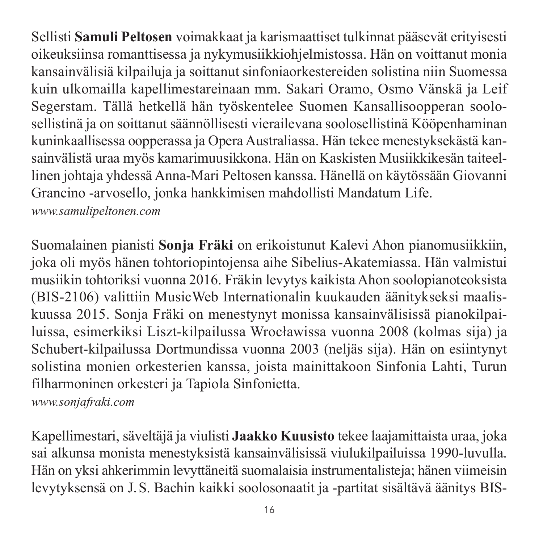Sellisti **Samuli Peltosen** voimakkaat ja karismaattiset tulkinnat pääsevät erityisesti oikeuksiinsa romanttisessa ja nykymusiikkiohjelmistossa. Hän on voittanut monia kansainvälisiä kilpailuja ja soittanut sinfoniaorkestereiden solistina niin Suomessa kuin ulkomailla kapellimestareinaan mm. Sakari Oramo, Osmo Vänskä ja Leif Segerstam. Tällä hetkellä hän työskentelee Suomen Kansallisoopperan soolosellistinä ja on soittanut säännöllisesti vierailevana soolosellistinä Kööpenhaminan kuninkaallisessa oopperassa ja Opera Australiassa. Hän tekee menestyksekästä kan sainvälistä uraa myös kamarimuusikkona. Hän on Kaskisten Musiikkikesän taiteel linen johtaja yhdessä Anna-Mari Peltosen kanssa. Hänellä on käytössään Giovanni Grancino -arvosello, jonka hankkimisen mahdollisti Mandatum Life. *[www.samulipeltonen.com](http://www.samulipeltonen.com)*

Suomalainen pianisti **Sonja Fräki** on erikoistunut Kalevi Ahon pianomusiikkiin, joka oli myös hänen tohtoriopintojensa aihe Sibelius-Akatemiassa. Hän valmistui musiikin tohtoriksi vuonna 2016. Fräkin levytys kaikista Ahon soolopianoteoksista (BIS-2106) valittiin MusicWeb Internationalin kuukauden äänitykseksi maalis kuussa 2015. Sonja Fräki on menestynyt monissa kansainvälisissä pianokilpai luissa, esimerkiksi Liszt-kilpailussa Wrocławissa vuonna 2008 (kolmas sija) ja Schubert-kilpailussa Dortmundissa vuonna 2003 (neljäs sija). Hän on esiintynyt solistina monien orkesterien kanssa, joista mainittakoon Sinfonia Lahti, Turun filharmoninen orkesteri ja Tapiola Sinfonietta.

*[www.sonjafraki.com](http://www.sonjafraki.com)*

Kapellimestari, säveltäjä ja viulisti **Jaakko Kuusisto** tekee laajamittaista uraa, joka sai alkunsa monista menestyksistä kansainvälisissä viulukilpailuissa 1990-luvulla. Hän on yksi ahkerimmin levyttäneitä suomalaisia instrumentalisteja; hänen viimeisin levytyksensä on J.S. Bachin kaikki soolosonaatit ja -partitat sisältävä äänitys BIS-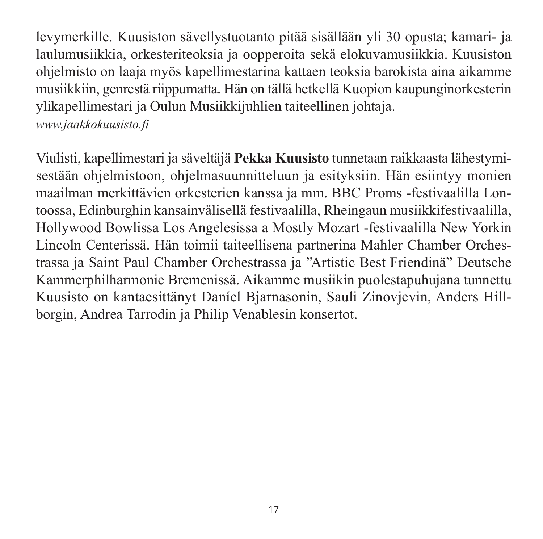levymerkille. Kuusiston sävellystuotanto pitää sisällään yli 30 opusta; kamari- ja laulumusiikkia, orkesteriteoksia ja oopperoita sekä elokuvamusiikkia. Kuusiston ohjelmisto on laaja myös kapellimestarina kattaen teoksia barokista aina aikamme musiikkiin, genrestä riippumatta. Hän on tällä hetkellä Kuopion kaupunginorkesterin ylikapellimestari ja Oulun Musiikkijuhlien taiteellinen johtaja.

*[www.jaakkokuusisto.fi](http://www.jaakkokuusisto.fi)*

Viulisti, kapellimestari ja säveltäjä **Pekka Kuusisto** tunnetaan raikkaasta lähestymi sestään ohjelmistoon, ohjelmasuunnitteluun ja esityksiin. Hän esiintyy monien maailman merkittävien orkesterien kanssa ja mm. BBC Proms -festivaalilla Lontoossa, Edinburghin kansainvälisellä festivaalilla, Rheingaun musiikkifestivaalilla, Hollywood Bowlissa Los Angelesissa a Mostly Mozart -festivaalilla New Yorkin Lincoln Centerissä. Hän toimii taiteellisena partnerina Mahler Chamber Orches trassa ja Saint Paul Chamber Orchestrassa ja "Artistic Best Friendinä" Deutsche Kammerphilharmonie Bremenissä. Aikamme musiikin puolestapuhujana tunnettu Kuusisto on kantaesittänyt Daníel Bjarnasonin, Sauli Zinovjevin, Anders Hill borgin, Andrea Tarrodin ja Philip Venablesin konsertot.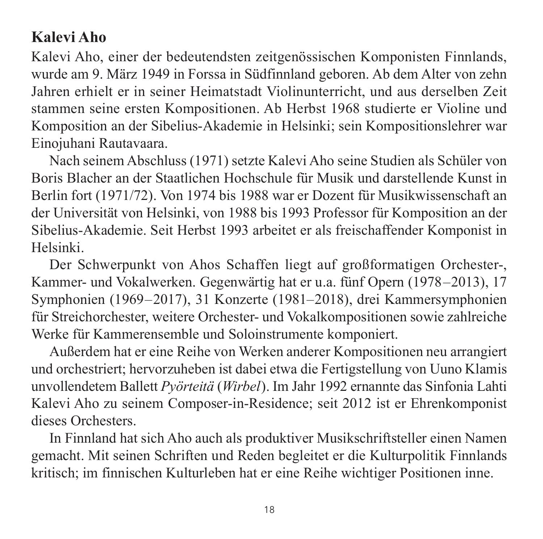#### **Kalevi Aho**

Kalevi Aho, einer der bedeutendsten zeitgenössischen Komponisten Finnlands, wurde am 9. März 1949 in Forssa in Südfinnland geboren. Ab dem Alter von zehn Jahren erhielt er in seiner Heimatstadt Violinunterricht, und aus derselben Zeit stammen seine ersten Kompositionen. Ab Herbst 1968 studierte er Violine und Kom position an der Sibelius-Akademie in Helsinki; sein Kompositionslehrer war Einojuhani Rautavaara.

Nach seinem Abschluss (1971) setzte Kalevi Aho seine Studien als Schüler von Boris Blacher an der Staatlichen Hochschule für Musik und darstellende Kunst in Berlin fort (1971/72). Von 1974 bis 1988 war er Dozent für Musik wissenschaft an der Universität von Helsinki, von 1988 bis 1993 Professor für Komposition an der Sibelius-Akademie. Seit Herbst 1993 arbeitet er als freischaffender Komponist in Helsinki.

Der Schwerpunkt von Ahos Schaffen liegt auf großformatigen Orchester-, Kammer- und Vokalwerken. Gegenwärtig hat er u.a. fünf Opern (1978–2013), 17 Symphonien (1969–2017), 31 Konzerte (1981–2018), drei Kammersymphonien für Streichorchester, weitere Orchester- und Vokalkompositionen sowie zahlreiche Werke für Kammerensemble und Soloinstrumente komponiert.

Außerdem hat er eine Reihe von Werken anderer Kompositionen neu arrangiert und orchestriert; hervorzuheben ist dabei etwa die Fertigstellung von Uuno Klamis unvollendetem Ballett *Pyörteitä* (*Wirbel*). Im Jahr 1992 ernannte das Sinfonia Lahti Kalevi Aho zu seinem Composer-in-Residence; seit 2012 ist er Ehrenkomponist dieses Orchesters.

In Finnland hat sich Aho auch als produktiver Musikschriftsteller einen Namen gemacht. Mit seinen Schriften und Reden begleitet er die Kulturpolitik Finnlands kritisch; im finnischen Kulturleben hat er eine Reihe wichtiger Positionen inne.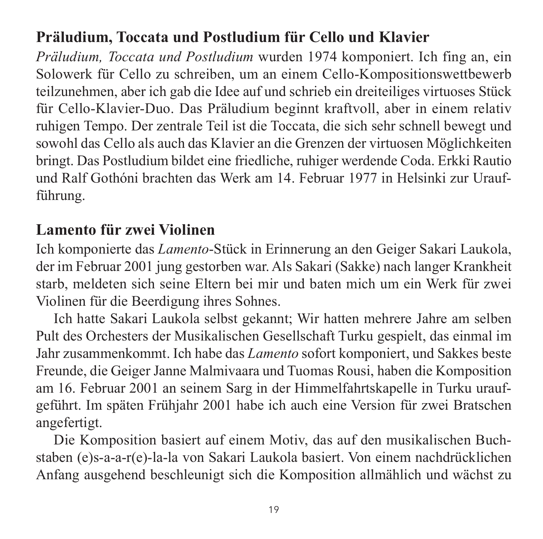#### **Präludium, Toccata und Postludium für Cello und Klavier**

*Präludium, Toccata und Postludium* wurden 1974 komponiert. Ich fing an, ein Solowerk für Cello zu schreiben, um an einem Cello-Kompositionswettbewerb teilzunehmen, aber ich gab die Idee auf und schrieb ein dreiteiliges virtuoses Stück für Cello-Klavier-Duo. Das Präludium beginnt kraftvoll, aber in einem relativ ruhigen Tempo. Der zentrale Teil ist die Toccata, die sich sehr schnell bewegt und sowohl das Cello als auch das Klavier an die Grenzen der virtuosen Möglichkeiten bringt. Das Postludium bildet eine friedliche, ruhiger werdende Coda. Erkki Rautio und Ralf Gothóni brachten das Werk am 14. Februar 1977 in Helsinki zur Uraufführung.

#### **Lamento für zwei Violinen**

Ich komponierte das *Lamento*-Stück in Erinnerung an den Geiger Sakari Laukola, der im Februar 2001 jung gestorben war. Als Sakari (Sakke) nach langer Krankheit starb, meldeten sich seine Eltern bei mir und baten mich um ein Werk für zwei Violinen für die Beerdigung ihres Sohnes.

Ich hatte Sakari Laukola selbst gekannt; Wir hatten mehrere Jahre am selben Pult des Orchesters der Musikalischen Gesell schaft Turku gespielt, das einmal im Jahr zusammenkommt. Ich habe das *Lamento* sofort komponiert, und Sakkes beste Freunde, die Geiger Janne Malmivaara und Tuomas Rousi, haben die Komposition am 16. Februar 2001 an seinem Sarg in der Himmelfahrtskapelle in Turku uraufgeführt. Im späten Frühjahr 2001 habe ich auch eine Version für zwei Bratschen angefertigt.

Die Komposition basiert auf einem Motiv, das auf den musikalischen Buch staben (e)s-a-a-r(e)-la-la von Sakari Laukola basiert. Von einem nachdrücklichen Anfang ausgehend beschleunigt sich die Komposition allmählich und wächst zu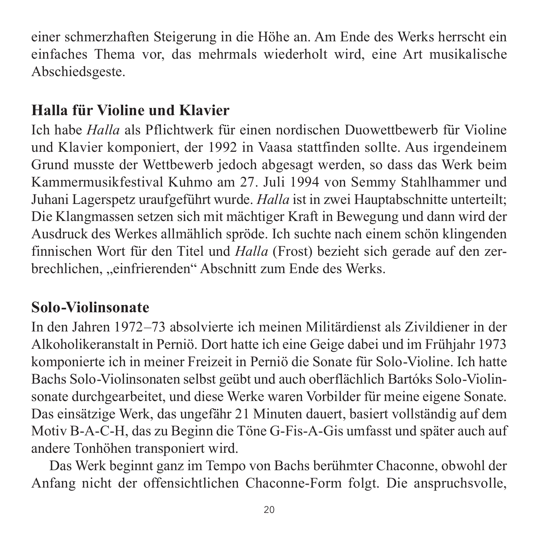einer schmerzhaften Steigerung in die Höhe an. Am Ende des Werks herrscht ein einfaches Thema vor, das mehrmals wiederholt wird, eine Art musikalische Abschieds geste.

#### **Halla für Violine und Klavier**

Ich habe *Halla* als Pflichtwerk für einen nordischen Duowettbewerb für Violine und Klavier komponiert, der 1992 in Vaasa stattfinden sollte. Aus irgendeinem Grund musste der Wettbewerb jedoch abgesagt werden, so dass das Werk beim Kammermusikfestival Kuhmo am 27. Juli 1994 von Semmy Stahlhammer und Juhani Lagerspetz uraufgeführt wurde. *Halla* ist in zwei Hauptabschnitte unterteilt; Die Klangmassen setzen sich mit mächtiger Kraft in Bewegung und dann wird der Ausdruck des Werkes allmählich spröde. Ich suchte nach einem schön klingenden finnischen Wort für den Titel und *Halla* (Frost) bezieht sich gerade auf den zer brechlichen, "einfrierenden" Abschnitt zum Ende des Werks.

#### **Solo-Violinsonate**

In den Jahren 1972–73 absolvierte ich meinen Militärdienst als Zivildiener in der Alkoholikeranstalt in Perniö. Dort hatte ich eine Geige dabei und im Frühjahr 1973 komponierte ich in meiner Freizeit in Perniö die Sonate für Solo-Violine. Ich hatte Bachs Solo-Violinsonaten selbst geübt und auch oberflächlich Bartóks Solo-Violin sonate durchgearbeitet, und diese Werke waren Vorbilder für meine eigene Sonate. Das einsätzige Werk, das ungefähr 21 Minuten dauert, basiert vollständig auf dem Motiv B-A-C-H, das zu Beginn die Töne G-Fis-A-Gis umfasst und später auch auf andere Tonhöhen transponiert wird.

Das Werk beginnt ganz im Tempo von Bachs berühmter Chaconne, obwohl der Anfang nicht der offensichtlichen Chaconne-Form folgt. Die anspruchsvolle,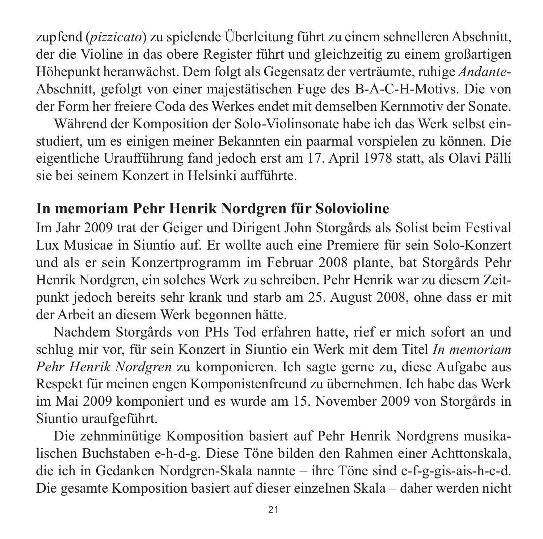zupfend (*pizzicato*) zu spielende Überleitung führt zu einem schnelleren Abschnitt, der die Violine in das obere Register führt und gleichzeitig zu einem großartigen Höhepunkt heranwächst. Dem folgt als Gegensatz der verträumte, ruhige *Andante*-Abschnitt, gefolgt von einer majestätischen Fuge des B-A-C-H-Motivs. Die von der Form her freiere Coda des Werkes endet mit demselben Kernmotiv der Sonate.

Während der Komposition der Solo-Violinsonate habe ich das Werk selbst ein studiert, um es einigen meiner Bekannten ein paarmal vorspielen zu können. Die eigentliche Uraufführung fand jedoch erst am 17. April 1978 statt, als Olavi Pälli sie bei seinem Konzert in Helsinki aufführte.

#### **In memoriam Pehr Henrik Nordgren für Solovioline**

Im Jahr 2009 trat der Geiger und Dirigent John Storgårds als Solist beim Festival Lux Musicae in Siuntio auf. Er wollte auch eine Premiere für sein Solo-Konzert und als er sein Konzertprogramm im Februar 2008 plante, bat Storgårds Pehr Henrik Nordgren, ein solches Werk zu schreiben. Pehr Henrik war zu diesem Zeit punkt jedoch bereits sehr krank und starb am 25. August 2008, ohne dass er mit der Arbeit an diesem Werk begonnen hätte.

Nachdem Storgårds von PHs Tod erfahren hatte, rief er mich sofort an und schlug mir vor, für sein Konzert in Siuntio ein Werk mit dem Titel *In memoriam Pehr Henrik Nordgren* zu komponieren. Ich sagte gerne zu, diese Aufgabe aus Respekt für meinen engen Komponistenfreund zu übernehmen. Ich habe das Werk im Mai 2009 komponiert und es wurde am 15. November 2009 von Storgårds in Siuntio uraufgeführt.

Die zehnminütige Komposition basiert auf Pehr Henrik Nordgrens musika lischen Buchstaben e-h-d-g. Diese Töne bilden den Rahmen einer Achttonskala, die ich in Gedanken Nordgren-Skala nannte – ihre Töne sind e-f-g-gis-ais-h-c-d. Die gesamte Komposition basiert auf dieser einzelnen Skala – daher werden nicht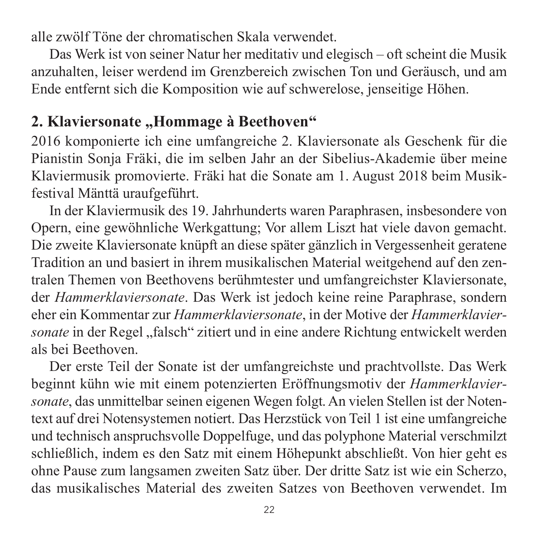alle zwölf Töne der chromatischen Skala verwendet.

Das Werk ist von seiner Natur her meditativ und elegisch – oft scheint die Musik anzuhalten, leiser werdend im Grenzbereich zwischen Ton und Geräusch, und am Ende entfernt sich die Komposition wie auf schwerelose, jenseitige Höhen.

#### 2. Klaviersonate "Hommage à Beethoven"

2016 komponierte ich eine umfangreiche 2. Klaviersonate als Geschenk für die Pianistin Sonja Fräki, die im selben Jahr an der Sibelius-Akademie über meine Klaviermusik promovierte. Fräki hat die Sonate am 1. August 2018 beim Musik festival Mänttä uraufgeführt.

In der Klaviermusik des 19. Jahrhunderts waren Paraphrasen, insbesondere von Opern, eine gewöhnliche Werkgattung; Vor allem Liszt hat viele davon gemacht. Die zweite Klaviersonate knüpft an diese später gänzlich in Vergessenheit geratene Tradition an und basiert in ihrem musikalischen Material weitgehend auf den zen tralen Themen von Beethovens berühmtester und umfangreichster Klaviersonate, der *Hammerklaviersonate*. Das Werk ist jedoch keine reine Paraphrase, sondern eher ein Kommentar zur *Hammerklaviersonate*, in der Motive der *Hammerklavier sonate* in der Regel "falsch" zitiert und in eine andere Richtung entwickelt werden als bei Beethoven.

Der erste Teil der Sonate ist der umfangreichste und prachtvollste. Das Werk beginnt kühn wie mit einem potenzierten Eröffnungsmotiv der *Hammerklavier sonate*, das unmittelbar seinen eigenen Wegen folgt. An vielen Stellen ist der Noten text auf drei Notensystemen notiert. Das Herzstück von Teil 1 ist eine umfangreiche und technisch anspruchsvolle Doppelfuge, und das polyphone Material verschmilzt schließlich, indem es den Satz mit einem Höhepunkt abschließt. Von hier geht es ohne Pause zum langsamen zweiten Satz über. Der dritte Satz ist wie ein Scherzo, das musikalisches Material des zweiten Satzes von Beethoven verwendet. Im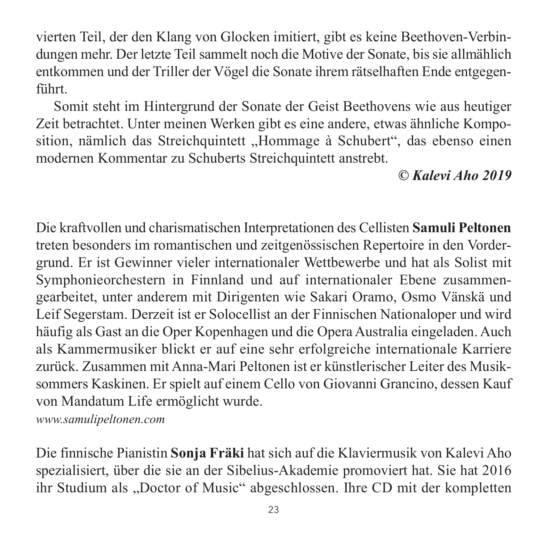vierten Teil, der den Klang von Glocken imitiert, gibt es keine Beethoven-Verbin dungen mehr. Der letzte Teil sammelt noch die Motive der Sonate, bis sie allmählich entkommen und der Triller der Vögel die Sonate ihrem rätselhaften Ende entgegenführt.

Somit steht im Hintergrund der Sonate der Geist Beethovens wie aus heutiger Zeit betrachtet. Unter meinen Werken gibt es eine andere, etwas ähnliche Komposition, nämlich das Streichquintett "Hommage à Schubert", das ebenso einen modernen Kommentar zu Schuberts Streichquintett anstrebt.

*© Kalevi Aho 2019*

Die kraftvollen und charismatischen Interpretationen des Cellisten **Samuli Peltonen** treten besonders im romantischen und zeitgenössischen Repertoire in den Vorder grund. Er ist Gewinner vieler internationaler Wettbewerbe und hat als Solist mit Symphonieorchestern in Finnland und auf internationaler Ebene zusammengearbeitet, unter anderem mit Dirigenten wie Sakari Oramo, Osmo Vänskä und Leif Segerstam. Derzeit ist er Solocellist an der Finnischen Nationaloper und wird häufig als Gast an die Oper Kopenhagen und die Opera Australia eingeladen. Auch als Kammermusiker blickt er auf eine sehr erfolgreiche internationale Karriere zurück. Zusammen mit Anna-Mari Peltonen ist er künstlerischer Leiter des Musik sommers Kaskinen. Er spielt auf einem Cello von Giovanni Grancino, dessen Kauf von Mandatum Life ermöglicht wurde.

*[www.samulipeltonen.com](http://www.samulipeltonen.com)*

Die finnische Pianistin **Sonja Fräki** hat sich auf die Klaviermusik von Kalevi Aho spezialisiert, über die sie an der Sibelius-Akademie promoviert hat. Sie hat 2016 ihr Studium als "Doctor of Music" abgeschlossen. Ihre CD mit der kompletten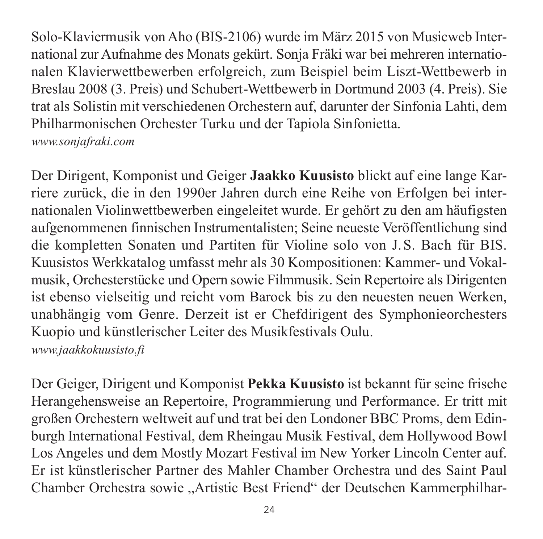Solo-Klaviermusik von Aho (BIS-2106) wurde im März 2015 von Musicweb Inter national zur Aufnahme des Monats gekürt. Sonja Fräki war bei mehreren internatio nalen Klavierwettbewerben erfolgreich, zum Beispiel beim Liszt-Wettbewerb in Breslau 2008 (3. Preis) und Schubert-Wettbewerb in Dortmund 2003 (4. Preis). Sie trat als Solistin mit verschiedenen Orchestern auf, darunter der Sinfonia Lahti, dem Philharmonischen Orchester Turku und der Tapiola Sinfonietta.

*[www.sonjafraki.com](http://www.sonjafraki.com)*

Der Dirigent, Komponist und Geiger **Jaakko Kuusisto** blickt auf eine lange Kar riere zurück, die in den 1990er Jahren durch eine Reihe von Erfolgen bei inter nationalen Violinwettbewerben eingeleitet wurde. Er gehört zu den am häufigsten aufgenommenen finnischen Instrumentalisten; Seine neueste Veröffentlichung sind die kompletten Sonaten und Partiten für Violine solo von J.S. Bach für BIS. Kuusistos Werkkatalog umfasst mehr als 30 Kompositionen: Kammer- und Vokal musik, Orchesterstücke und Opern sowie Filmmusik. Sein Repertoire als Dirigenten ist ebenso vielseitig und reicht vom Barock bis zu den neuesten neuen Werken, unabhängig vom Genre. Derzeit ist er Chefdirigent des Symphonieorchesters Kuopio und künstlerischer Leiter des Musikfestivals Oulu. *[www.jaakkokuusisto.fi](http://www.jaakkokuusisto.fi)*

Der Geiger, Dirigent und Komponist **Pekka Kuusisto** ist bekannt für seine frische Herangehensweise an Repertoire, Programmierung und Performance. Er tritt mit großen Orchestern weltweit auf und trat bei den Londoner BBC Proms, dem Edin burgh International Festival, dem Rheingau Musik Festival, dem Hollywood Bowl Los Angeles und dem Mostly Mozart Festival im New Yorker Lincoln Center auf. Er ist künstlerischer Partner des Mahler Chamber Orchestra und des Saint Paul Chamber Orchestra sowie "Artistic Best Friend" der Deutschen Kammerphilhar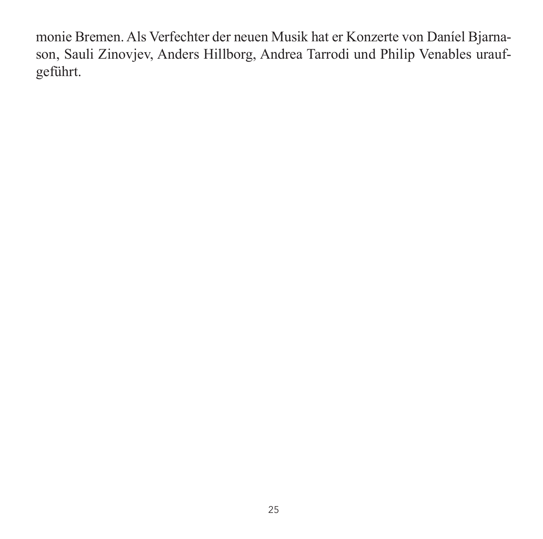monie Bremen. Als Verfechter der neuen Musik hat er Konzerte von Daníel Bjarnason, Sauli Zinovjev, Anders Hillborg, Andrea Tarrodi und Philip Venables urauf geführt.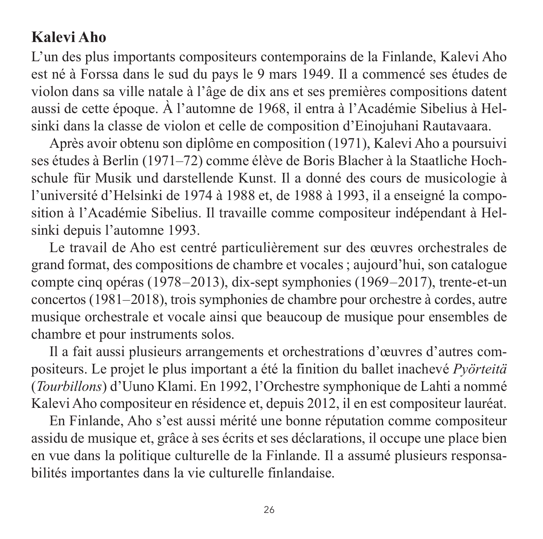#### **Kalevi Aho**

L'un des plus importants compositeurs contemporains de la Finlande, Kalevi Aho est né à Forssa dans le sud du pays le 9 mars 1949. Il a commencé ses études de violon dans sa ville natale à l'âge de dix ans et ses premières compositions datent aussi de cette époque. À l'automne de 1968, il entra à l'Académie Sibelius à Helsinki dans la classe de violon et celle de composition d'Einojuhani Rautavaara.

Après avoir obtenu son diplôme en composition (1971), Kalevi Aho a poursuivi ses études à Berlin (1971–72) comme élève de Boris Blacher à la Staatliche Hochschule für Musik und darstellende Kunst. Il a donné des cours de musicologie à l'université d'Helsinki de 1974 à 1988 et, de 1988 à 1993, il a enseigné la composition à l'Académie Sibelius. Il travaille comme compositeur indépendant à Hel sinki depuis l'automne 1993.

Le travail de Aho est centré particulièrement sur des œuvres orchestrales de grand format, des compositions de chambre et vocales ; aujourd'hui, son catalogue compte cinq opéras (1978–2013), dix-sept symphonies (1969–2017), trente-et-un con certos (1981–2018), trois symphonies de chambre pour orchestre à cordes, autre musique orchestrale et vocale ainsi que beaucoup de musique pour ensembles de chambre et pour instruments solos.

Il a fait aussi plusieurs arrangements et orchestrations d'œuvres d'autres com positeurs. Le projet le plus important a été la finition du ballet inachevé *Pyörteitä* (*Tourbillons*) d'Uuno Klami. En 1992, l'Orchestre symphonique de Lahti a nommé Kalevi Aho compositeur en résidence et, depuis 2012, il en est compositeur lauréat.

En Finlande, Aho s'est aussi mérité une bonne réputation comme compositeur assidu de musique et, grâce à ses écrits et ses déclarations, il occupe une place bien en vue dans la politique culturelle de la Finlande. Il a assumé plusieurs responsa bilités importantes dans la vie culturelle finlandaise.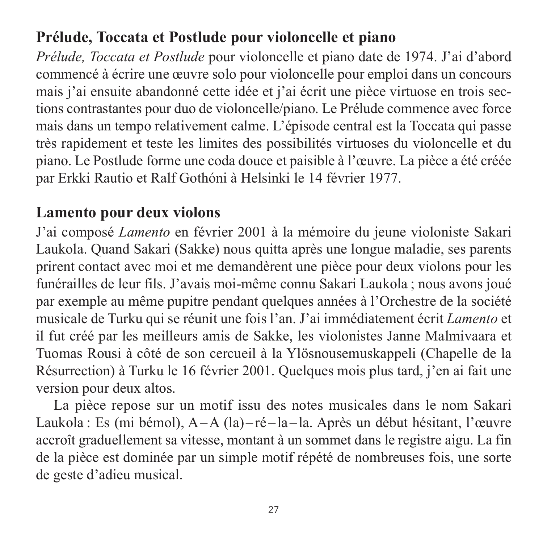### **Prélude, Toccata et Postlude pour violoncelle et piano**

*Prélude, Toccata et Postlude* pour violoncelle et piano date de 1974. J'ai d'abord commencé à écrire une œuvre solo pour violoncelle pour emploi dans un concours mais j'ai ensuite abandonné cette idée et j'ai écrit une pièce virtuose en trois sec tions contrastantes pour duo de violoncelle/piano. Le Prélude commence avec force mais dans un tempo relativement calme. L'épisode central est la Toccata qui passe très rapidement et teste les limites des possibilités virtuoses du violoncelle et du piano. Le Postlude forme une coda douce et paisible à l'œuvre. La pièce a été créée par Erkki Rautio et Ralf Gothóni à Helsinki le 14 février 1977.

#### **Lamento pour deux violons**

J'ai composé *Lamento* en février 2001 à la mémoire du jeune violoniste Sakari Laukola. Quand Sakari (Sakke) nous quitta après une longue maladie, ses parents prirent contact avec moi et me demandèrent une pièce pour deux violons pour les funérailles de leur fils. J'avais moi-même connu Sakari Laukola ; nous avons joué par exemple au même pupitre pendant quelques années à l'Orchestre de la société musicale de Turku qui se réunit une fois l'an. J'ai immédiatement écrit *Lamento* et il fut créé par les meilleurs amis de Sakke, les violonistes Janne Malmivaara et Tuomas Rousi à côté de son cercueil à la Ylösnousemuskappeli (Chapelle de la Résurrection) à Turku le 16 février 2001. Quelques mois plus tard, j'en ai fait une version pour deux altos.

La pièce repose sur un motif issu des notes musicales dans le nom Sakari Laukola : Es (mi bémol), A – A (la) – ré – la – la. Après un début hésitant, l'œuvre accroît graduellement sa vitesse, montant à un sommet dans le registre aigu. La fin de la pièce est dominée par un simple motif répété de nombreuses fois, une sorte de geste d'adieu musical.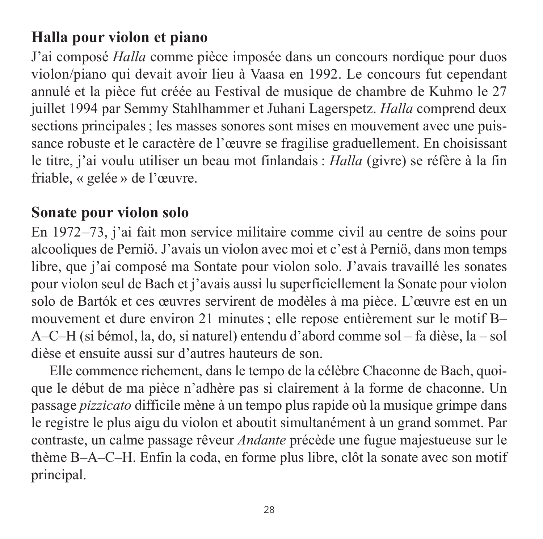#### **Halla pour violon et piano**

J'ai composé *Halla* comme pièce imposée dans un concours nordique pour duos violon/piano qui devait avoir lieu à Vaasa en 1992. Le concours fut cependant annulé et la pièce fut créée au Festival de musique de chambre de Kuhmo le 27 juillet 1994 par Semmy Stahlhammer et Juhani Lagerspetz. *Halla* comprend deux sections principales ; les masses sonores sont mises en mouvement avec une puis sance robuste et le caractère de l'œuvre se fragilise graduellement. En choisissant le titre, j'ai voulu utiliser un beau mot finlandais : *Halla* (givre) se réfère à la fin friable, « gelée » de l'œuvre.

#### **Sonate pour violon solo**

En 1972–73, j'ai fait mon service militaire comme civil au centre de soins pour alcooliques de Perniö. J'avais un violon avec moi et c'est à Perniö, dans mon temps libre, que j'ai composé ma Sontate pour violon solo. J'avais travaillé les sonates pour violon seul de Bach et j'avais aussi lu superficiellement la Sonate pour violon solo de Bartók et ces œuvres servirent de modèles à ma pièce. L'œuvre est en un mouvement et dure environ 21 minutes ; elle repose entièrement sur le motif B– A–C–H (si bémol, la, do, si naturel) entendu d'abord comme sol – fa dièse, la – sol dièse et ensuite aussi sur d'autres hauteurs de son.

Elle commence richement, dans le tempo de la célèbre Chaconne de Bach, quoi que le début de ma pièce n'adhère pas si clairement à la forme de chaconne. Un passage *pizzicato* difficile mène à un tempo plus rapide où la musique grimpe dans le registre le plus aigu du violon et aboutit simultanément à un grand sommet. Par contraste, un calme passage rêveur *Andante* précède une fugue majestueuse sur le thème B–A–C–H. Enfin la coda, en forme plus libre, clôt la sonate avec son motif principal.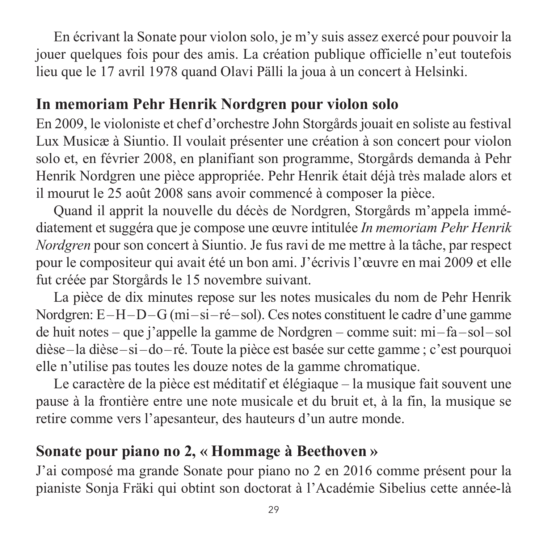En écrivant la Sonate pour violon solo, je m'y suis assez exercé pour pouvoir la jouer quelques fois pour des amis. La création publique officielle n'eut toutefois lieu que le 17 avril 1978 quand Olavi Pälli la joua à un concert à Helsinki.

#### **In memoriam Pehr Henrik Nordgren pour violon solo**

En 2009, le violoniste et chef d'orchestre John Storgårds jouait en soliste au festival Lux Musicæ à Siuntio. Il voulait présenter une création à son concert pour violon solo et, en février 2008, en planifiant son programme, Storgårds demanda à Pehr Henrik Nordgren une pièce appropriée. Pehr Henrik était déjà très malade alors et il mourut le 25 août 2008 sans avoir commencé à composer la pièce.

Quand il apprit la nouvelle du décès de Nordgren, Storgårds m'appela immé diate ment et suggéra que je compose une œuvre intitulée *In memoriam Pehr Henrik Nordgren* pour son concert à Siuntio. Je fus ravi de me mettre à la tâche, par respect pour le compositeur qui avait été un bon ami. J'écrivis l'œuvre en mai 2009 et elle fut créée par Storgårds le 15 novembre suivant.

La pièce de dix minutes repose sur les notes musicales du nom de Pehr Henrik Nordgren: E<sup> $-$ </sup>H $-$ D $-$ G (mi $-si$ <sup>-ré $-sol$ ). Ces notes constituent le cadre d'une gamme</sup> de huit notes – que j'appelle la gamme de Nordgren – comme suit: mi – fa – sol – sol dièse – la dièse – si – do – ré. Toute la pièce est basée sur cette gamme ; c'est pourquoi elle n'utilise pas toutes les douze notes de la gamme chromatique.

Le caractère de la pièce est méditatif et élégiaque – la musique fait souvent une pause à la frontière entre une note musicale et du bruit et, à la fin, la musique se retire comme vers l'apesanteur, des hauteurs d'un autre monde.

#### **Sonate pour piano no 2, « Hommage à Beethoven »**

J'ai composé ma grande Sonate pour piano no 2 en 2016 comme présent pour la pianiste Sonja Fräki qui obtint son doctorat à l'Académie Sibelius cette année-là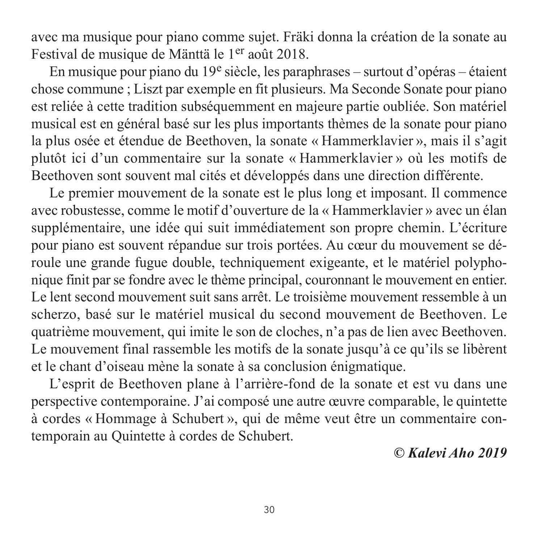avec ma musique pour piano comme sujet. Fräki donna la création de la sonate au Festival de musique de Mänttä le 1er août 2018.

En musique pour piano du  $19^e$  siècle, les paraphrases – surtout d'opéras – étaient chose commune ; Liszt par exemple en fit plusieurs. Ma Seconde Sonate pour piano est reliée à cette tradition subséquemment en majeure partie oubliée. Son matériel musical est en général basé sur les plus importants thèmes de la sonate pour piano la plus osée et étendue de Beethoven, la sonate « Hammerklavier », mais il s'agit plutôt ici d'un commentaire sur la sonate « Hammerklavier » où les motifs de Beethoven sont souvent mal cités et développés dans une direction différente.

Le premier mouvement de la sonate est le plus long et imposant. Il commence avec robustesse, comme le motif d'ouverture de la « Hammerklavier » avec un élan supplémentaire, une idée qui suit immédiatement son propre chemin. L'écriture pour piano est souvent répandue sur trois portées. Au cœur du mouvement se dé roule une grande fugue double, techniquement exigeante, et le matériel polyphonique finit par se fondre avec le thème principal, couronnant le mouvement en entier. Le lent second mouvement suit sans arrêt. Le troisième mouvement ressemble à un scherzo, basé sur le matériel musical du second mouvement de Beethoven. Le quatrième mouvement, qui imite le son de cloches, n'a pas de lien avec Beethoven. Le mouvement final rassemble les motifs de la sonate jusqu'à ce qu'ils se libèrent et le chant d'oiseau mène la sonate à sa conclusion énigmatique.

L'esprit de Beethoven plane à l'arrière-fond de la sonate et est vu dans une perspective contemporaine. J'ai composé une autre œuvre comparable, le quintette à cordes « Hommage à Schubert », qui de même veut être un commentaire contemporain au Quintette à cordes de Schubert.

*© Kalevi Aho 2019*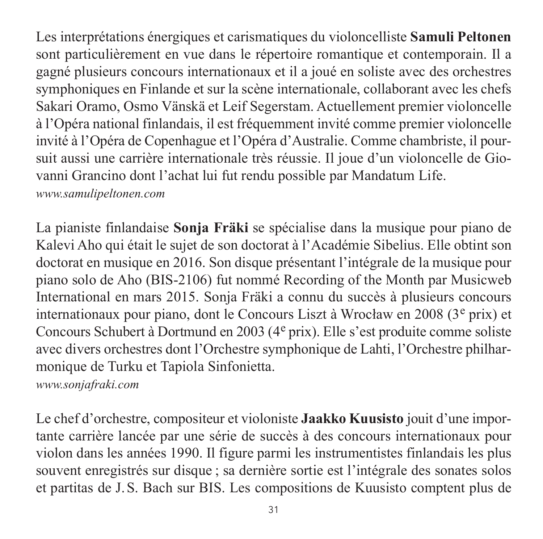Les interprétations énergiques et carismatiques du violoncelliste **Samuli Peltonen** sont particulièrement en vue dans le répertoire romantique et contemporain. Il a gagné plusieurs concours internationaux et il a joué en soliste avec des orchestres symphoniques en Finlande et sur la scène internationale, collaborant avec les chefs Sakari Oramo, Osmo Vänskä et Leif Segerstam. Actuellement premier violoncelle à l'Opéra national finlandais, il est fréquemment invité comme premier violoncelle invité à l'Opéra de Copenhague et l'Opéra d'Australie. Comme chambriste, il pour suit aussi une carrière internationale très réussie. Il joue d'un violoncelle de Giovanni Grancino dont l'achat lui fut rendu possible par Mandatum Life.

*[www.samulipeltonen.com](http://www.samulipeltonen.com)*

La pianiste finlandaise **Sonja Fräki** se spécialise dans la musique pour piano de Kalevi Aho qui était le sujet de son doctorat à l'Académie Sibelius. Elle obtint son doctorat en musique en 2016. Son disque présentant l'intégrale de la musique pour piano solo de Aho (BIS-2106) fut nommé Recording of the Month par Musicweb International en mars 2015. Sonja Fräki a connu du succès à plusieurs concours internationaux pour piano, dont le Concours Liszt à Wrocław en 2008 (3<sup>e</sup> prix) et Concours Schubert à Dortmund en 2003 (4e prix). Elle s'est produite comme soliste avec divers orchestres dont l'Orchestre symphonique de Lahti, l'Orchestre philhar mo nique de Turku et Tapiola Sinfonietta.

*[www.sonjafraki.com](http://www.sonjafraki.com)*

Le chef d'orchestre, compositeur et violoniste **Jaakko Kuusisto** jouit d'une impor tante carrière lancée par une série de succès à des concours internationaux pour violon dans les années 1990. Il figure parmi les instrumentistes finlandais les plus souvent enregistrés sur disque ; sa dernière sortie est l'intégrale des sonates solos et partitas de J.S. Bach sur BIS. Les compositions de Kuusisto comptent plus de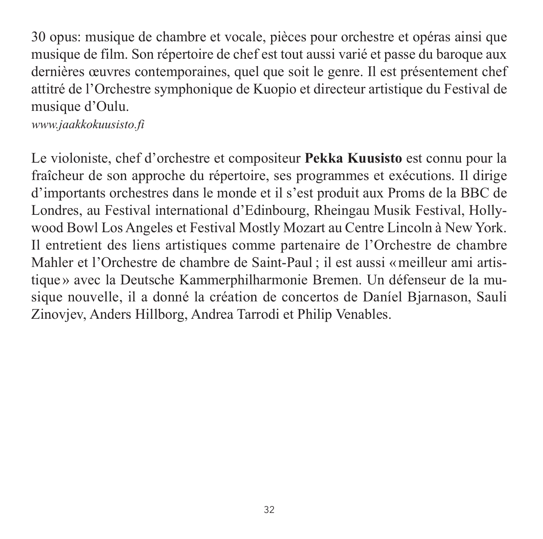30 opus: musique de chambre et vocale, pièces pour orchestre et opéras ainsi que musique de film. Son répertoire de chef est tout aussi varié et passe du baroque aux dernières œuvres contemporaines, quel que soit le genre. Il est présentement chef attitré de l'Orchestre symphonique de Kuopio et directeur artistique du Festival de musique d'Oulu.

*[www.jaakkokuusisto.fi](http://www.jaakkokuusisto.fi)*

Le violoniste, chef d'orchestre et compositeur **Pekka Kuusisto** est connu pour la fraîcheur de son approche du répertoire, ses programmes et exécutions. Il dirige d'im portants orchestres dans le monde et il s'est produit aux Proms de la BBC de Londres, au Festival international d'Edinbourg, Rheingau Musik Festival, Hollywood Bowl Los Angeles et Festival Mostly Mozart au Centre Lincoln à New York. Il entretient des liens artistiques comme partenaire de l'Orchestre de chambre Mahler et l'Orchestre de chambre de Saint-Paul ; il est aussi «meilleur ami artis tique» avec la Deutsche Kammerphilharmonie Bremen. Un défenseur de la mu sique nouvelle, il a donné la création de concertos de Daníel Bjarnason, Sauli Zinovjev, Anders Hillborg, Andrea Tarrodi et Philip Venables.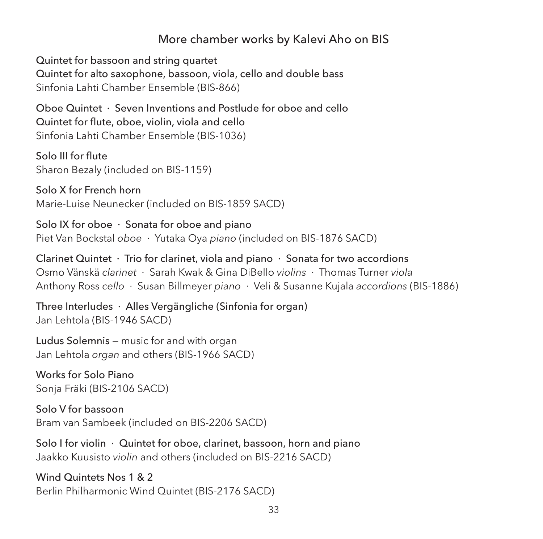#### More chamber works by Kalevi Aho on BIS

Quintet for bassoon and string quartet Quintet for alto saxophone, bassoon, viola, cello and double bass Sinfonia Lahti Chamber Ensemble (BIS-866)

Oboe Quintet · Seven Inventions and Postlude for oboe and cello Quintet for flute, oboe, violin, viola and cello Sinfonia Lahti Chamber Ensemble (BIS-1036)

Solo III for flute Sharon Bezaly (included on BIS-1159)

Solo X for French horn Marie-Luise Neunecker (included on BIS-1859 SACD)

Solo IX for oboe · Sonata for oboe and piano Piet Van Bockstal *oboe* · Yutaka Oya *piano* (included on BIS-1876 SACD)

Clarinet Quintet · Trio for clarinet, viola and piano · Sonata for two accordions Osmo Vänskä *clarinet* · Sarah Kwak & Gina DiBello *violins* · Thomas Turner *viola* Anthony Ross *cello* · Susan Billmeyer *piano* · Veli & Susanne Kujala *accordions* (BIS-1886)

Three Interludes · Alles Vergängliche (Sinfonia for organ) Jan Lehtola (BIS-1946 SACD)

Ludus Solemnis — music for and with organ Jan Lehtola *organ* and others (BIS-1966 SACD)

Works for Solo Piano Sonja Fräki (BIS-2106 SACD)

Solo V for bassoon Bram van Sambeek (included on BIS-2206 SACD)

Solo I for violin · Quintet for oboe, clarinet, bassoon, horn and piano Jaakko Kuusisto *violin* and others (included on BIS-2216 SACD)

Wind Quintets Nos 1 & 2 Berlin Philharmonic Wind Quintet (BIS-2176 SACD)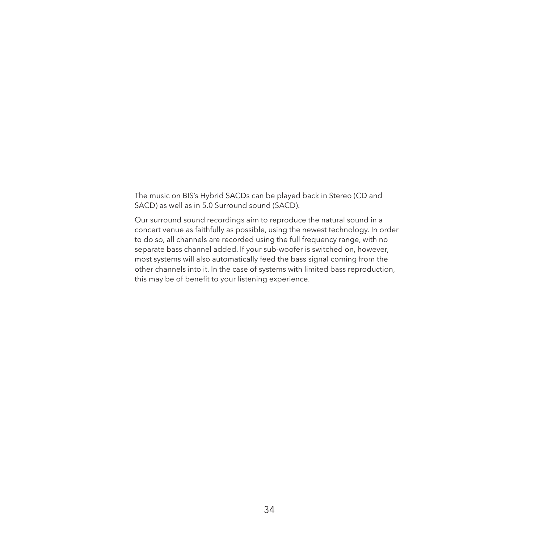The music on BIS's Hybrid SACDs can be played back in Stereo (CD and SACD) as well as in 5.0 Surround sound (SACD).

Our surround sound recordings aim to reproduce the natural sound in a concert venue as faithfully as possible, using the newest technology. In order to do so, all channels are recorded using the full frequency range, with no separate bass channel added. If your sub-woofer is switched on, however, most systems will also automatically feed the bass signal coming from the other channels into it. In the case of systems with limited bass reproduction, this may be of benefit to your listening experience.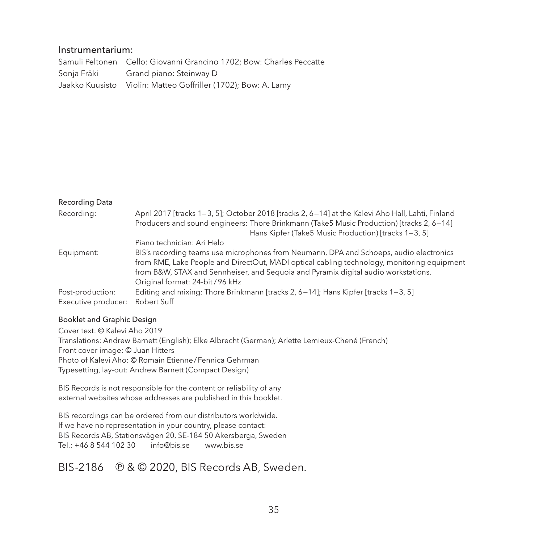#### Instrumentarium:

Samuli Peltonen Cello: Giovanni Grancino 1702; Bow: Charles Peccatte Sonja Fräki Grand piano: Steinway D Jaakko Kuusisto Violin: Matteo Goffriller (1702); Bow: A. Lamy

#### Recording Data

| Recordina:                      | April 2017 [tracks 1-3, 5]; October 2018 [tracks 2, 6-14] at the Kalevi Aho Hall, Lahti, Finland<br>Producers and sound engineers: Thore Brinkmann (Take5 Music Production) [tracks 2, 6-14]<br>Hans Kipfer (Take5 Music Production) [tracks 1-3, 5] |
|---------------------------------|------------------------------------------------------------------------------------------------------------------------------------------------------------------------------------------------------------------------------------------------------|
|                                 | Piano technician: Ari Helo                                                                                                                                                                                                                           |
| Equipment:                      | BIS's recording teams use microphones from Neumann, DPA and Schoeps, audio electronics                                                                                                                                                               |
|                                 | from RME, Lake People and DirectOut, MADI optical cabling technology, monitoring equipment                                                                                                                                                           |
|                                 | from B&W, STAX and Sennheiser, and Sequoia and Pyramix digital audio workstations.                                                                                                                                                                   |
|                                 | Original format: 24-bit / 96 kHz                                                                                                                                                                                                                     |
| Post-production:                | Editing and mixing: Thore Brinkmann [tracks 2, 6-14]; Hans Kipfer [tracks 1-3, 5]                                                                                                                                                                    |
| Executive producer: Robert Suff |                                                                                                                                                                                                                                                      |

#### Booklet and Graphic Design

Cover text: © Kalevi Aho 2019 Translations: Andrew Barnett (English); Elke Albrecht (German); Arlette Lemieux-Chené (French) Front cover image: © Juan Hitters Photo of Kalevi Aho: © Romain Etienne/Fennica Gehrman Typesetting, lay-out: Andrew Barnett (Compact Design)

BIS Records is not responsible for the content or reliability of any external websites whose addresses are published in this booklet.

BIS recordings can be ordered from our distributors worldwide. If we have no representation in your country, please contact: BIS Records AB, Stationsvägen 20, SE-184 50 Åkersberga, Sweden  $Tel: +46.854410230$  [info@bis.se](mailto:info@bis.se) [www.bis.se](http://www.bis.se)

BIS-2186 **9** & © 2020, BIS Records AB, Sweden.